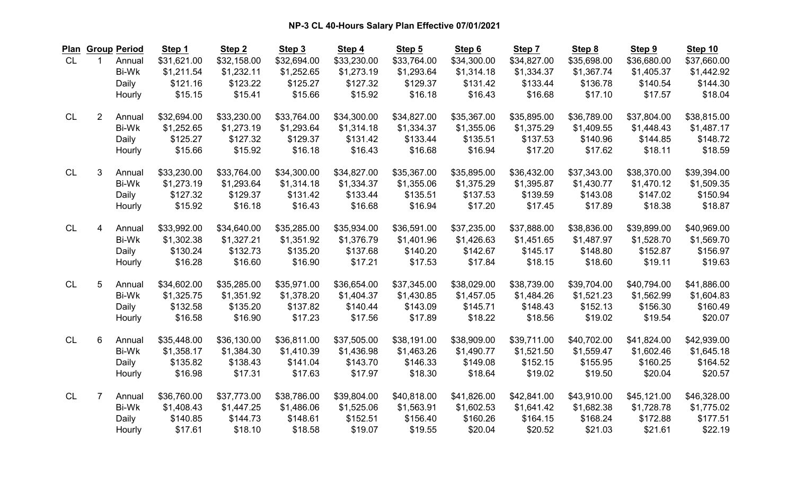| Plan      |                | <b>Group Period</b> | Step 1      | Step <sub>2</sub> | Step 3      | Step 4      | Step 5      | Step 6      | Step 7      | Step 8      | Step 9      | Step 10     |
|-----------|----------------|---------------------|-------------|-------------------|-------------|-------------|-------------|-------------|-------------|-------------|-------------|-------------|
| <b>CL</b> | $\mathbf{1}$   | Annual              | \$31,621.00 | \$32,158.00       | \$32,694.00 | \$33,230.00 | \$33,764.00 | \$34,300.00 | \$34,827.00 | \$35,698.00 | \$36,680.00 | \$37,660.00 |
|           |                | <b>Bi-Wk</b>        | \$1,211.54  | \$1,232.11        | \$1,252.65  | \$1,273.19  | \$1,293.64  | \$1,314.18  | \$1,334.37  | \$1,367.74  | \$1,405.37  | \$1,442.92  |
|           |                | Daily               | \$121.16    | \$123.22          | \$125.27    | \$127.32    | \$129.37    | \$131.42    | \$133.44    | \$136.78    | \$140.54    | \$144.30    |
|           |                | Hourly              | \$15.15     | \$15.41           | \$15.66     | \$15.92     | \$16.18     | \$16.43     | \$16.68     | \$17.10     | \$17.57     | \$18.04     |
| <b>CL</b> | $\overline{2}$ | Annual              | \$32,694.00 | \$33,230.00       | \$33,764.00 | \$34,300.00 | \$34,827.00 | \$35,367.00 | \$35,895.00 | \$36,789.00 | \$37,804.00 | \$38,815.00 |
|           |                | <b>Bi-Wk</b>        | \$1,252.65  | \$1,273.19        | \$1,293.64  | \$1,314.18  | \$1,334.37  | \$1,355.06  | \$1,375.29  | \$1,409.55  | \$1,448.43  | \$1,487.17  |
|           |                | Daily               | \$125.27    | \$127.32          | \$129.37    | \$131.42    | \$133.44    | \$135.51    | \$137.53    | \$140.96    | \$144.85    | \$148.72    |
|           |                | Hourly              | \$15.66     | \$15.92           | \$16.18     | \$16.43     | \$16.68     | \$16.94     | \$17.20     | \$17.62     | \$18.11     | \$18.59     |
| <b>CL</b> | 3              | Annual              | \$33,230.00 | \$33,764.00       | \$34,300.00 | \$34,827.00 | \$35,367.00 | \$35,895.00 | \$36,432.00 | \$37,343.00 | \$38,370.00 | \$39,394.00 |
|           |                | <b>Bi-Wk</b>        | \$1,273.19  | \$1,293.64        | \$1,314.18  | \$1,334.37  | \$1,355.06  | \$1,375.29  | \$1,395.87  | \$1,430.77  | \$1,470.12  | \$1,509.35  |
|           |                | Daily               | \$127.32    | \$129.37          | \$131.42    | \$133.44    | \$135.51    | \$137.53    | \$139.59    | \$143.08    | \$147.02    | \$150.94    |
|           |                | Hourly              | \$15.92     | \$16.18           | \$16.43     | \$16.68     | \$16.94     | \$17.20     | \$17.45     | \$17.89     | \$18.38     | \$18.87     |
| <b>CL</b> | $\overline{4}$ | Annual              | \$33,992.00 | \$34,640.00       | \$35,285.00 | \$35,934.00 | \$36,591.00 | \$37,235.00 | \$37,888.00 | \$38,836.00 | \$39,899.00 | \$40,969.00 |
|           |                | <b>Bi-Wk</b>        | \$1,302.38  | \$1,327.21        | \$1,351.92  | \$1,376.79  | \$1,401.96  | \$1,426.63  | \$1,451.65  | \$1,487.97  | \$1,528.70  | \$1,569.70  |
|           |                | Daily               | \$130.24    | \$132.73          | \$135.20    | \$137.68    | \$140.20    | \$142.67    | \$145.17    | \$148.80    | \$152.87    | \$156.97    |
|           |                | Hourly              | \$16.28     | \$16.60           | \$16.90     | \$17.21     | \$17.53     | \$17.84     | \$18.15     | \$18.60     | \$19.11     | \$19.63     |
| <b>CL</b> | 5              | Annual              | \$34,602.00 | \$35,285.00       | \$35,971.00 | \$36,654.00 | \$37,345.00 | \$38,029.00 | \$38,739.00 | \$39,704.00 | \$40,794.00 | \$41,886.00 |
|           |                | <b>Bi-Wk</b>        | \$1,325.75  | \$1,351.92        | \$1,378.20  | \$1,404.37  | \$1,430.85  | \$1,457.05  | \$1,484.26  | \$1,521.23  | \$1,562.99  | \$1,604.83  |
|           |                | Daily               | \$132.58    | \$135.20          | \$137.82    | \$140.44    | \$143.09    | \$145.71    | \$148.43    | \$152.13    | \$156.30    | \$160.49    |
|           |                | Hourly              | \$16.58     | \$16.90           | \$17.23     | \$17.56     | \$17.89     | \$18.22     | \$18.56     | \$19.02     | \$19.54     | \$20.07     |
| <b>CL</b> | 6              | Annual              | \$35,448.00 | \$36,130.00       | \$36,811.00 | \$37,505.00 | \$38,191.00 | \$38,909.00 | \$39,711.00 | \$40,702.00 | \$41,824.00 | \$42,939.00 |
|           |                | <b>Bi-Wk</b>        | \$1,358.17  | \$1,384.30        | \$1,410.39  | \$1,436.98  | \$1,463.26  | \$1,490.77  | \$1,521.50  | \$1,559.47  | \$1,602.46  | \$1,645.18  |
|           |                | Daily               | \$135.82    | \$138.43          | \$141.04    | \$143.70    | \$146.33    | \$149.08    | \$152.15    | \$155.95    | \$160.25    | \$164.52    |
|           |                | Hourly              | \$16.98     | \$17.31           | \$17.63     | \$17.97     | \$18.30     | \$18.64     | \$19.02     | \$19.50     | \$20.04     | \$20.57     |
| <b>CL</b> | $\overline{7}$ | Annual              | \$36,760.00 | \$37,773.00       | \$38,786.00 | \$39,804.00 | \$40,818.00 | \$41,826.00 | \$42,841.00 | \$43,910.00 | \$45,121.00 | \$46,328.00 |
|           |                | <b>Bi-Wk</b>        | \$1,408.43  | \$1,447.25        | \$1,486.06  | \$1,525.06  | \$1,563.91  | \$1,602.53  | \$1,641.42  | \$1,682.38  | \$1,728.78  | \$1,775.02  |
|           |                | Daily               | \$140.85    | \$144.73          | \$148.61    | \$152.51    | \$156.40    | \$160.26    | \$164.15    | \$168.24    | \$172.88    | \$177.51    |
|           |                | Hourly              | \$17.61     | \$18.10           | \$18.58     | \$19.07     | \$19.55     | \$20.04     | \$20.52     | \$21.03     | \$21.61     | \$22.19     |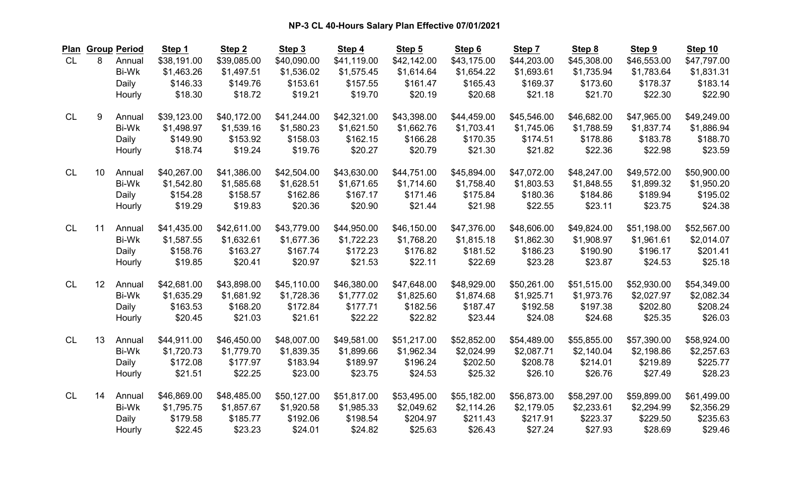| Plan      |    | <b>Group Period</b> | Step 1      | Step <sub>2</sub> | Step 3      | Step 4      | Step 5      | Step 6      | Step 7      | Step 8      | Step 9      | Step 10     |
|-----------|----|---------------------|-------------|-------------------|-------------|-------------|-------------|-------------|-------------|-------------|-------------|-------------|
| <b>CL</b> | 8  | Annual              | \$38,191.00 | \$39,085.00       | \$40,090.00 | \$41,119.00 | \$42,142.00 | \$43,175.00 | \$44,203.00 | \$45,308.00 | \$46,553.00 | \$47,797.00 |
|           |    | <b>Bi-Wk</b>        | \$1,463.26  | \$1,497.51        | \$1,536.02  | \$1,575.45  | \$1,614.64  | \$1,654.22  | \$1,693.61  | \$1,735.94  | \$1,783.64  | \$1,831.31  |
|           |    | Daily               | \$146.33    | \$149.76          | \$153.61    | \$157.55    | \$161.47    | \$165.43    | \$169.37    | \$173.60    | \$178.37    | \$183.14    |
|           |    | Hourly              | \$18.30     | \$18.72           | \$19.21     | \$19.70     | \$20.19     | \$20.68     | \$21.18     | \$21.70     | \$22.30     | \$22.90     |
| <b>CL</b> | 9  | Annual              | \$39,123.00 | \$40,172.00       | \$41,244.00 | \$42,321.00 | \$43,398.00 | \$44,459.00 | \$45,546.00 | \$46,682.00 | \$47,965.00 | \$49,249.00 |
|           |    | Bi-Wk               | \$1,498.97  | \$1,539.16        | \$1,580.23  | \$1,621.50  | \$1,662.76  | \$1,703.41  | \$1,745.06  | \$1,788.59  | \$1,837.74  | \$1,886.94  |
|           |    | Daily               | \$149.90    | \$153.92          | \$158.03    | \$162.15    | \$166.28    | \$170.35    | \$174.51    | \$178.86    | \$183.78    | \$188.70    |
|           |    | Hourly              | \$18.74     | \$19.24           | \$19.76     | \$20.27     | \$20.79     | \$21.30     | \$21.82     | \$22.36     | \$22.98     | \$23.59     |
| <b>CL</b> | 10 | Annual              | \$40,267.00 | \$41,386.00       | \$42,504.00 | \$43,630.00 | \$44,751.00 | \$45,894.00 | \$47,072.00 | \$48,247.00 | \$49,572.00 | \$50,900.00 |
|           |    | <b>Bi-Wk</b>        | \$1,542.80  | \$1,585.68        | \$1,628.51  | \$1,671.65  | \$1,714.60  | \$1,758.40  | \$1,803.53  | \$1,848.55  | \$1,899.32  | \$1,950.20  |
|           |    | Daily               | \$154.28    | \$158.57          | \$162.86    | \$167.17    | \$171.46    | \$175.84    | \$180.36    | \$184.86    | \$189.94    | \$195.02    |
|           |    | Hourly              | \$19.29     | \$19.83           | \$20.36     | \$20.90     | \$21.44     | \$21.98     | \$22.55     | \$23.11     | \$23.75     | \$24.38     |
| <b>CL</b> | 11 | Annual              | \$41,435.00 | \$42,611.00       | \$43,779.00 | \$44,950.00 | \$46,150.00 | \$47,376.00 | \$48,606.00 | \$49,824.00 | \$51,198.00 | \$52,567.00 |
|           |    | <b>Bi-Wk</b>        | \$1,587.55  | \$1,632.61        | \$1,677.36  | \$1,722.23  | \$1,768.20  | \$1,815.18  | \$1,862.30  | \$1,908.97  | \$1,961.61  | \$2,014.07  |
|           |    | Daily               | \$158.76    | \$163.27          | \$167.74    | \$172.23    | \$176.82    | \$181.52    | \$186.23    | \$190.90    | \$196.17    | \$201.41    |
|           |    | Hourly              | \$19.85     | \$20.41           | \$20.97     | \$21.53     | \$22.11     | \$22.69     | \$23.28     | \$23.87     | \$24.53     | \$25.18     |
| <b>CL</b> | 12 | Annual              | \$42,681.00 | \$43,898.00       | \$45,110.00 | \$46,380.00 | \$47,648.00 | \$48,929.00 | \$50,261.00 | \$51,515.00 | \$52,930.00 | \$54,349.00 |
|           |    | Bi-Wk               | \$1,635.29  | \$1,681.92        | \$1,728.36  | \$1,777.02  | \$1,825.60  | \$1,874.68  | \$1,925.71  | \$1,973.76  | \$2,027.97  | \$2,082.34  |
|           |    | Daily               | \$163.53    | \$168.20          | \$172.84    | \$177.71    | \$182.56    | \$187.47    | \$192.58    | \$197.38    | \$202.80    | \$208.24    |
|           |    | Hourly              | \$20.45     | \$21.03           | \$21.61     | \$22.22     | \$22.82     | \$23.44     | \$24.08     | \$24.68     | \$25.35     | \$26.03     |
| <b>CL</b> | 13 | Annual              | \$44,911.00 | \$46,450.00       | \$48,007.00 | \$49,581.00 | \$51,217.00 | \$52,852.00 | \$54,489.00 | \$55,855.00 | \$57,390.00 | \$58,924.00 |
|           |    | <b>Bi-Wk</b>        | \$1,720.73  | \$1,779.70        | \$1,839.35  | \$1,899.66  | \$1,962.34  | \$2,024.99  | \$2,087.71  | \$2,140.04  | \$2,198.86  | \$2,257.63  |
|           |    | Daily               | \$172.08    | \$177.97          | \$183.94    | \$189.97    | \$196.24    | \$202.50    | \$208.78    | \$214.01    | \$219.89    | \$225.77    |
|           |    | Hourly              | \$21.51     | \$22.25           | \$23.00     | \$23.75     | \$24.53     | \$25.32     | \$26.10     | \$26.76     | \$27.49     | \$28.23     |
| <b>CL</b> | 14 | Annual              | \$46,869.00 | \$48,485.00       | \$50,127.00 | \$51,817.00 | \$53,495.00 | \$55,182.00 | \$56,873.00 | \$58,297.00 | \$59,899.00 | \$61,499.00 |
|           |    | <b>Bi-Wk</b>        | \$1,795.75  | \$1,857.67        | \$1,920.58  | \$1,985.33  | \$2,049.62  | \$2,114.26  | \$2,179.05  | \$2,233.61  | \$2,294.99  | \$2,356.29  |
|           |    | Daily               | \$179.58    | \$185.77          | \$192.06    | \$198.54    | \$204.97    | \$211.43    | \$217.91    | \$223.37    | \$229.50    | \$235.63    |
|           |    | Hourly              | \$22.45     | \$23.23           | \$24.01     | \$24.82     | \$25.63     | \$26.43     | \$27.24     | \$27.93     | \$28.69     | \$29.46     |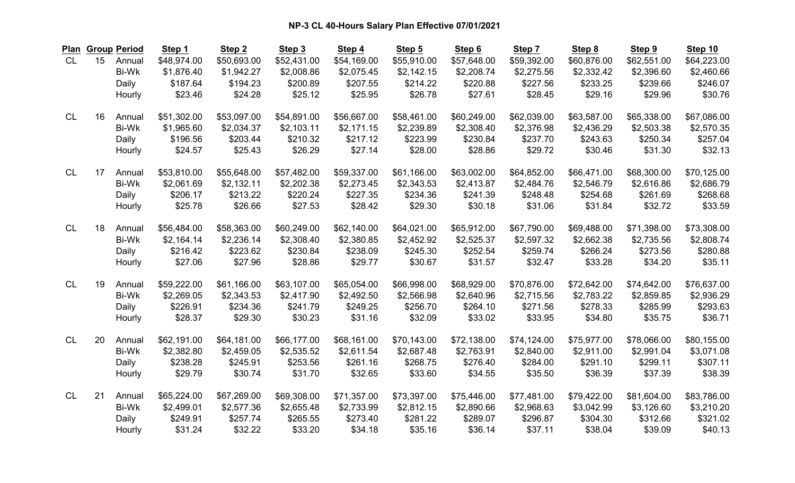| Plan      |    | <b>Group Period</b> | Step 1      | Step <sub>2</sub> | Step 3      | Step 4      | Step 5      | Step 6      | Step 7      | Step 8      | Step 9      | Step 10     |
|-----------|----|---------------------|-------------|-------------------|-------------|-------------|-------------|-------------|-------------|-------------|-------------|-------------|
| CL        | 15 | Annual              | \$48,974.00 | \$50,693.00       | \$52,431.00 | \$54,169.00 | \$55,910.00 | \$57,648.00 | \$59,392.00 | \$60,876.00 | \$62,551.00 | \$64,223.00 |
|           |    | <b>Bi-Wk</b>        | \$1,876.40  | \$1,942.27        | \$2,008.86  | \$2,075.45  | \$2,142.15  | \$2,208.74  | \$2,275.56  | \$2,332.42  | \$2,396.60  | \$2,460.66  |
|           |    | Daily               | \$187.64    | \$194.23          | \$200.89    | \$207.55    | \$214.22    | \$220.88    | \$227.56    | \$233.25    | \$239.66    | \$246.07    |
|           |    | Hourly              | \$23.46     | \$24.28           | \$25.12     | \$25.95     | \$26.78     | \$27.61     | \$28.45     | \$29.16     | \$29.96     | \$30.76     |
| <b>CL</b> | 16 | Annual              | \$51,302.00 | \$53,097.00       | \$54,891.00 | \$56,667.00 | \$58,461.00 | \$60,249.00 | \$62,039.00 | \$63,587.00 | \$65,338.00 | \$67,086.00 |
|           |    | <b>Bi-Wk</b>        | \$1,965.60  | \$2,034.37        | \$2,103.11  | \$2,171.15  | \$2,239.89  | \$2,308.40  | \$2,376.98  | \$2,436.29  | \$2,503.38  | \$2,570.35  |
|           |    | Daily               | \$196.56    | \$203.44          | \$210.32    | \$217.12    | \$223.99    | \$230.84    | \$237.70    | \$243.63    | \$250.34    | \$257.04    |
|           |    | Hourly              | \$24.57     | \$25.43           | \$26.29     | \$27.14     | \$28.00     | \$28.86     | \$29.72     | \$30.46     | \$31.30     | \$32.13     |
| <b>CL</b> | 17 | Annual              | \$53,810.00 | \$55,648.00       | \$57,482.00 | \$59,337.00 | \$61,166.00 | \$63,002.00 | \$64,852.00 | \$66,471.00 | \$68,300.00 | \$70,125.00 |
|           |    | <b>Bi-Wk</b>        | \$2,061.69  | \$2,132.11        | \$2,202.38  | \$2,273.45  | \$2,343.53  | \$2,413.87  | \$2,484.76  | \$2,546.79  | \$2,616.86  | \$2,686.79  |
|           |    | Daily               | \$206.17    | \$213.22          | \$220.24    | \$227.35    | \$234.36    | \$241.39    | \$248.48    | \$254.68    | \$261.69    | \$268.68    |
|           |    | Hourly              | \$25.78     | \$26.66           | \$27.53     | \$28.42     | \$29.30     | \$30.18     | \$31.06     | \$31.84     | \$32.72     | \$33.59     |
| <b>CL</b> | 18 | Annual              | \$56,484.00 | \$58,363.00       | \$60,249.00 | \$62,140.00 | \$64,021.00 | \$65,912.00 | \$67,790.00 | \$69,488.00 | \$71,398.00 | \$73,308.00 |
|           |    | <b>Bi-Wk</b>        | \$2,164.14  | \$2,236.14        | \$2,308.40  | \$2,380.85  | \$2,452.92  | \$2,525.37  | \$2,597.32  | \$2,662.38  | \$2,735.56  | \$2,808.74  |
|           |    | Daily               | \$216.42    | \$223.62          | \$230.84    | \$238.09    | \$245.30    | \$252.54    | \$259.74    | \$266.24    | \$273.56    | \$280.88    |
|           |    | Hourly              | \$27.06     | \$27.96           | \$28.86     | \$29.77     | \$30.67     | \$31.57     | \$32.47     | \$33.28     | \$34.20     | \$35.11     |
| <b>CL</b> | 19 | Annual              | \$59,222.00 | \$61,166.00       | \$63,107.00 | \$65,054.00 | \$66,998.00 | \$68,929.00 | \$70,876.00 | \$72,642.00 | \$74,642.00 | \$76,637.00 |
|           |    | <b>Bi-Wk</b>        | \$2,269.05  | \$2,343.53        | \$2,417.90  | \$2,492.50  | \$2,566.98  | \$2,640.96  | \$2,715.56  | \$2,783.22  | \$2,859.85  | \$2,936.29  |
|           |    | Daily               | \$226.91    | \$234.36          | \$241.79    | \$249.25    | \$256.70    | \$264.10    | \$271.56    | \$278.33    | \$285.99    | \$293.63    |
|           |    | Hourly              | \$28.37     | \$29.30           | \$30.23     | \$31.16     | \$32.09     | \$33.02     | \$33.95     | \$34.80     | \$35.75     | \$36.71     |
| <b>CL</b> | 20 | Annual              | \$62,191.00 | \$64,181.00       | \$66,177.00 | \$68,161.00 | \$70,143.00 | \$72,138.00 | \$74,124.00 | \$75,977.00 | \$78,066.00 | \$80,155.00 |
|           |    | <b>Bi-Wk</b>        | \$2,382.80  | \$2,459.05        | \$2,535.52  | \$2,611.54  | \$2,687.48  | \$2,763.91  | \$2,840.00  | \$2,911.00  | \$2,991.04  | \$3,071.08  |
|           |    | Daily               | \$238.28    | \$245.91          | \$253.56    | \$261.16    | \$268.75    | \$276.40    | \$284.00    | \$291.10    | \$299.11    | \$307.11    |
|           |    | Hourly              | \$29.79     | \$30.74           | \$31.70     | \$32.65     | \$33.60     | \$34.55     | \$35.50     | \$36.39     | \$37.39     | \$38.39     |
| <b>CL</b> | 21 | Annual              | \$65,224.00 | \$67,269.00       | \$69,308.00 | \$71,357.00 | \$73,397.00 | \$75,446.00 | \$77,481.00 | \$79,422.00 | \$81,604.00 | \$83,786.00 |
|           |    | <b>Bi-Wk</b>        | \$2,499.01  | \$2,577.36        | \$2,655.48  | \$2,733.99  | \$2,812.15  | \$2,890.66  | \$2,968.63  | \$3,042.99  | \$3,126.60  | \$3,210.20  |
|           |    | Daily               | \$249.91    | \$257.74          | \$265.55    | \$273.40    | \$281.22    | \$289.07    | \$296.87    | \$304.30    | \$312.66    | \$321.02    |
|           |    | Hourly              | \$31.24     | \$32.22           | \$33.20     | \$34.18     | \$35.16     | \$36.14     | \$37.11     | \$38.04     | \$39.09     | \$40.13     |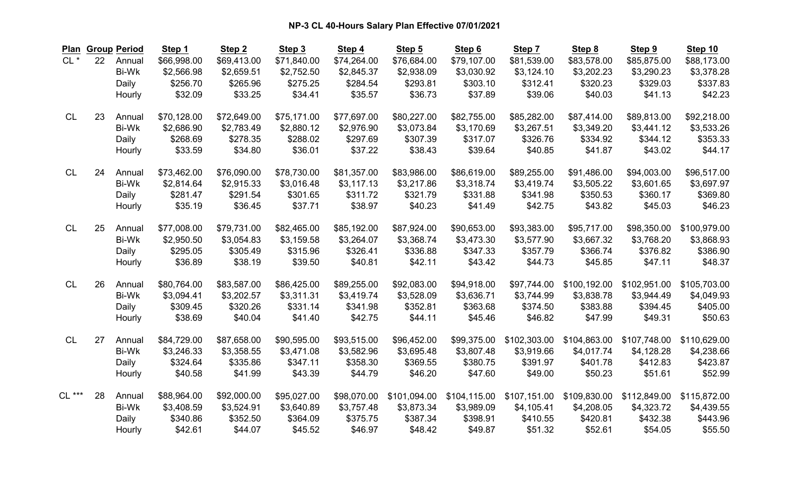| <b>Plan</b> |    | <b>Group Period</b> | Step 1      | Step <sub>2</sub> | Step <sub>3</sub> | Step 4      | Step 5       | Step 6       | Step 7       | Step 8       | Step 9       | Step 10      |
|-------------|----|---------------------|-------------|-------------------|-------------------|-------------|--------------|--------------|--------------|--------------|--------------|--------------|
| $CL$ $*$    | 22 | Annual              | \$66,998.00 | \$69,413.00       | \$71,840.00       | \$74,264.00 | \$76,684.00  | \$79,107.00  | \$81,539.00  | \$83,578.00  | \$85,875.00  | \$88,173.00  |
|             |    | <b>Bi-Wk</b>        | \$2,566.98  | \$2,659.51        | \$2,752.50        | \$2,845.37  | \$2,938.09   | \$3,030.92   | \$3,124.10   | \$3,202.23   | \$3,290.23   | \$3,378.28   |
|             |    | Daily               | \$256.70    | \$265.96          | \$275.25          | \$284.54    | \$293.81     | \$303.10     | \$312.41     | \$320.23     | \$329.03     | \$337.83     |
|             |    | Hourly              | \$32.09     | \$33.25           | \$34.41           | \$35.57     | \$36.73      | \$37.89      | \$39.06      | \$40.03      | \$41.13      | \$42.23      |
| <b>CL</b>   | 23 | Annual              | \$70,128.00 | \$72,649.00       | \$75,171.00       | \$77,697.00 | \$80,227.00  | \$82,755.00  | \$85,282.00  | \$87,414.00  | \$89,813.00  | \$92,218.00  |
|             |    | <b>Bi-Wk</b>        | \$2,686.90  | \$2,783.49        | \$2,880.12        | \$2,976.90  | \$3,073.84   | \$3,170.69   | \$3,267.51   | \$3,349.20   | \$3,441.12   | \$3,533.26   |
|             |    | Daily               | \$268.69    | \$278.35          | \$288.02          | \$297.69    | \$307.39     | \$317.07     | \$326.76     | \$334.92     | \$344.12     | \$353.33     |
|             |    | Hourly              | \$33.59     | \$34.80           | \$36.01           | \$37.22     | \$38.43      | \$39.64      | \$40.85      | \$41.87      | \$43.02      | \$44.17      |
| <b>CL</b>   | 24 | Annual              | \$73,462.00 | \$76,090.00       | \$78,730.00       | \$81,357.00 | \$83,986.00  | \$86,619.00  | \$89,255.00  | \$91,486.00  | \$94,003.00  | \$96,517.00  |
|             |    | <b>Bi-Wk</b>        | \$2,814.64  | \$2,915.33        | \$3,016.48        | \$3,117.13  | \$3,217.86   | \$3,318.74   | \$3,419.74   | \$3,505.22   | \$3,601.65   | \$3,697.97   |
|             |    | Daily               | \$281.47    | \$291.54          | \$301.65          | \$311.72    | \$321.79     | \$331.88     | \$341.98     | \$350.53     | \$360.17     | \$369.80     |
|             |    | Hourly              | \$35.19     | \$36.45           | \$37.71           | \$38.97     | \$40.23      | \$41.49      | \$42.75      | \$43.82      | \$45.03      | \$46.23      |
| <b>CL</b>   | 25 | Annual              | \$77,008.00 | \$79,731.00       | \$82,465.00       | \$85,192.00 | \$87,924.00  | \$90,653.00  | \$93,383.00  | \$95,717.00  | \$98,350.00  | \$100,979.00 |
|             |    | <b>Bi-Wk</b>        | \$2,950.50  | \$3,054.83        | \$3,159.58        | \$3,264.07  | \$3,368.74   | \$3,473.30   | \$3,577.90   | \$3,667.32   | \$3,768.20   | \$3,868.93   |
|             |    | Daily               | \$295.05    | \$305.49          | \$315.96          | \$326.41    | \$336.88     | \$347.33     | \$357.79     | \$366.74     | \$376.82     | \$386.90     |
|             |    | Hourly              | \$36.89     | \$38.19           | \$39.50           | \$40.81     | \$42.11      | \$43.42      | \$44.73      | \$45.85      | \$47.11      | \$48.37      |
| <b>CL</b>   | 26 | Annual              | \$80,764.00 | \$83,587.00       | \$86,425.00       | \$89,255.00 | \$92,083.00  | \$94,918.00  | \$97,744.00  | \$100,192.00 | \$102,951.00 | \$105,703.00 |
|             |    | <b>Bi-Wk</b>        | \$3,094.41  | \$3,202.57        | \$3,311.31        | \$3,419.74  | \$3,528.09   | \$3,636.71   | \$3,744.99   | \$3,838.78   | \$3,944.49   | \$4,049.93   |
|             |    | Daily               | \$309.45    | \$320.26          | \$331.14          | \$341.98    | \$352.81     | \$363.68     | \$374.50     | \$383.88     | \$394.45     | \$405.00     |
|             |    | Hourly              | \$38.69     | \$40.04           | \$41.40           | \$42.75     | \$44.11      | \$45.46      | \$46.82      | \$47.99      | \$49.31      | \$50.63      |
| <b>CL</b>   | 27 | Annual              | \$84,729.00 | \$87,658.00       | \$90,595.00       | \$93,515.00 | \$96,452.00  | \$99,375.00  | \$102,303.00 | \$104,863.00 | \$107,748.00 | \$110,629.00 |
|             |    | <b>Bi-Wk</b>        | \$3,246.33  | \$3,358.55        | \$3,471.08        | \$3,582.96  | \$3,695.48   | \$3,807.48   | \$3,919.66   | \$4,017.74   | \$4,128.28   | \$4,238.66   |
|             |    | Daily               | \$324.64    | \$335.86          | \$347.11          | \$358.30    | \$369.55     | \$380.75     | \$391.97     | \$401.78     | \$412.83     | \$423.87     |
|             |    | Hourly              | \$40.58     | \$41.99           | \$43.39           | \$44.79     | \$46.20      | \$47.60      | \$49.00      | \$50.23      | \$51.61      | \$52.99      |
| $CL***$     | 28 | Annual              | \$88,964.00 | \$92,000.00       | \$95,027.00       | \$98,070.00 | \$101,094.00 | \$104,115.00 | \$107,151.00 | \$109,830.00 | \$112,849.00 | \$115,872.00 |
|             |    | <b>Bi-Wk</b>        | \$3,408.59  | \$3,524.91        | \$3,640.89        | \$3,757.48  | \$3,873.34   | \$3,989.09   | \$4,105.41   | \$4,208.05   | \$4,323.72   | \$4,439.55   |
|             |    | Daily               | \$340.86    | \$352.50          | \$364.09          | \$375.75    | \$387.34     | \$398.91     | \$410.55     | \$420.81     | \$432.38     | \$443.96     |
|             |    | Hourly              | \$42.61     | \$44.07           | \$45.52           | \$46.97     | \$48.42      | \$49.87      | \$51.32      | \$52.61      | \$54.05      | \$55.50      |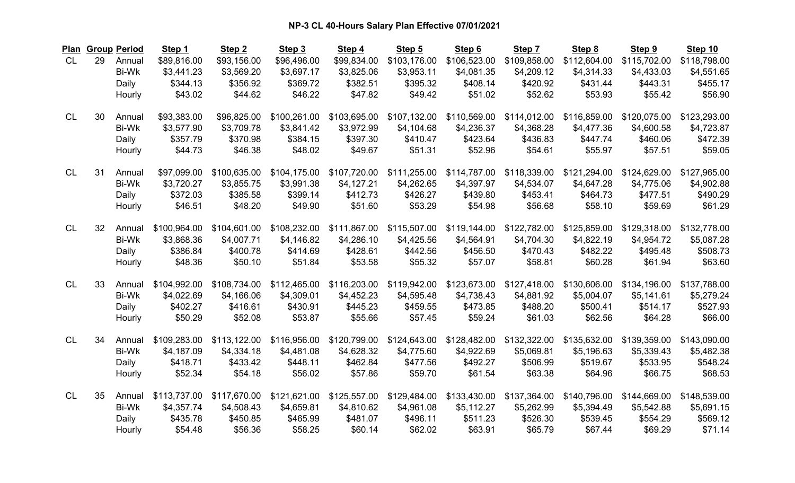| <b>Plan</b> |    | <b>Group Period</b> | Step 1       | Step <sub>2</sub> | Step 3       | Step 4       | Step 5       | Step 6       | Step 7       | Step 8       | Step 9       | Step 10      |
|-------------|----|---------------------|--------------|-------------------|--------------|--------------|--------------|--------------|--------------|--------------|--------------|--------------|
| <b>CL</b>   | 29 | Annual              | \$89,816.00  | \$93,156.00       | \$96,496.00  | \$99,834.00  | \$103,176.00 | \$106,523.00 | \$109,858.00 | \$112,604.00 | \$115,702.00 | \$118,798.00 |
|             |    | <b>Bi-Wk</b>        | \$3,441.23   | \$3,569.20        | \$3,697.17   | \$3,825.06   | \$3,953.11   | \$4,081.35   | \$4,209.12   | \$4,314.33   | \$4,433.03   | \$4,551.65   |
|             |    | Daily               | \$344.13     | \$356.92          | \$369.72     | \$382.51     | \$395.32     | \$408.14     | \$420.92     | \$431.44     | \$443.31     | \$455.17     |
|             |    | Hourly              | \$43.02      | \$44.62           | \$46.22      | \$47.82      | \$49.42      | \$51.02      | \$52.62      | \$53.93      | \$55.42      | \$56.90      |
| <b>CL</b>   | 30 | Annual              | \$93,383.00  | \$96,825.00       | \$100,261.00 | \$103,695.00 | \$107,132.00 | \$110,569.00 | \$114,012.00 | \$116,859.00 | \$120,075.00 | \$123,293.00 |
|             |    | <b>Bi-Wk</b>        | \$3,577.90   | \$3,709.78        | \$3,841.42   | \$3,972.99   | \$4,104.68   | \$4,236.37   | \$4,368.28   | \$4,477.36   | \$4,600.58   | \$4,723.87   |
|             |    | Daily               | \$357.79     | \$370.98          | \$384.15     | \$397.30     | \$410.47     | \$423.64     | \$436.83     | \$447.74     | \$460.06     | \$472.39     |
|             |    | Hourly              | \$44.73      | \$46.38           | \$48.02      | \$49.67      | \$51.31      | \$52.96      | \$54.61      | \$55.97      | \$57.51      | \$59.05      |
| <b>CL</b>   | 31 | Annual              | \$97,099.00  | \$100,635.00      | \$104,175.00 | \$107,720.00 | \$111,255.00 | \$114,787.00 | \$118,339.00 | \$121,294.00 | \$124,629.00 | \$127,965.00 |
|             |    | <b>Bi-Wk</b>        | \$3,720.27   | \$3,855.75        | \$3,991.38   | \$4,127.21   | \$4,262.65   | \$4,397.97   | \$4,534.07   | \$4,647.28   | \$4,775.06   | \$4,902.88   |
|             |    | Daily               | \$372.03     | \$385.58          | \$399.14     | \$412.73     | \$426.27     | \$439.80     | \$453.41     | \$464.73     | \$477.51     | \$490.29     |
|             |    | Hourly              | \$46.51      | \$48.20           | \$49.90      | \$51.60      | \$53.29      | \$54.98      | \$56.68      | \$58.10      | \$59.69      | \$61.29      |
| <b>CL</b>   | 32 | Annual              | \$100,964.00 | \$104,601.00      | \$108,232.00 | \$111,867.00 | \$115,507.00 | \$119,144.00 | \$122,782.00 | \$125,859.00 | \$129,318.00 | \$132,778.00 |
|             |    | <b>Bi-Wk</b>        | \$3,868.36   | \$4,007.71        | \$4,146.82   | \$4,286.10   | \$4,425.56   | \$4,564.91   | \$4,704.30   | \$4,822.19   | \$4,954.72   | \$5,087.28   |
|             |    | Daily               | \$386.84     | \$400.78          | \$414.69     | \$428.61     | \$442.56     | \$456.50     | \$470.43     | \$482.22     | \$495.48     | \$508.73     |
|             |    | Hourly              | \$48.36      | \$50.10           | \$51.84      | \$53.58      | \$55.32      | \$57.07      | \$58.81      | \$60.28      | \$61.94      | \$63.60      |
| <b>CL</b>   | 33 | Annual              | \$104,992.00 | \$108,734.00      | \$112,465.00 | \$116,203.00 | \$119,942.00 | \$123,673.00 | \$127,418.00 | \$130,606.00 | \$134,196.00 | \$137,788.00 |
|             |    | <b>Bi-Wk</b>        | \$4,022.69   | \$4,166.06        | \$4,309.01   | \$4,452.23   | \$4,595.48   | \$4,738.43   | \$4,881.92   | \$5,004.07   | \$5,141.61   | \$5,279.24   |
|             |    | Daily               | \$402.27     | \$416.61          | \$430.91     | \$445.23     | \$459.55     | \$473.85     | \$488.20     | \$500.41     | \$514.17     | \$527.93     |
|             |    | Hourly              | \$50.29      | \$52.08           | \$53.87      | \$55.66      | \$57.45      | \$59.24      | \$61.03      | \$62.56      | \$64.28      | \$66.00      |
| <b>CL</b>   | 34 | Annual              | \$109,283.00 | \$113,122.00      | \$116,956.00 | \$120,799.00 | \$124,643.00 | \$128,482.00 | \$132,322.00 | \$135,632.00 | \$139,359.00 | \$143,090.00 |
|             |    | <b>Bi-Wk</b>        | \$4,187.09   | \$4,334.18        | \$4,481.08   | \$4,628.32   | \$4,775.60   | \$4,922.69   | \$5,069.81   | \$5,196.63   | \$5,339.43   | \$5,482.38   |
|             |    | Daily               | \$418.71     | \$433.42          | \$448.11     | \$462.84     | \$477.56     | \$492.27     | \$506.99     | \$519.67     | \$533.95     | \$548.24     |
|             |    | Hourly              | \$52.34      | \$54.18           | \$56.02      | \$57.86      | \$59.70      | \$61.54      | \$63.38      | \$64.96      | \$66.75      | \$68.53      |
| <b>CL</b>   | 35 | Annual              | \$113,737.00 | \$117,670.00      | \$121,621.00 | \$125,557.00 | \$129,484.00 | \$133,430.00 | \$137,364.00 | \$140,796.00 | \$144,669.00 | \$148,539.00 |
|             |    | <b>Bi-Wk</b>        | \$4,357.74   | \$4,508.43        | \$4,659.81   | \$4,810.62   | \$4,961.08   | \$5,112.27   | \$5,262.99   | \$5,394.49   | \$5,542.88   | \$5,691.15   |
|             |    | Daily               | \$435.78     | \$450.85          | \$465.99     | \$481.07     | \$496.11     | \$511.23     | \$526.30     | \$539.45     | \$554.29     | \$569.12     |
|             |    | Hourly              | \$54.48      | \$56.36           | \$58.25      | \$60.14      | \$62.02      | \$63.91      | \$65.79      | \$67.44      | \$69.29      | \$71.14      |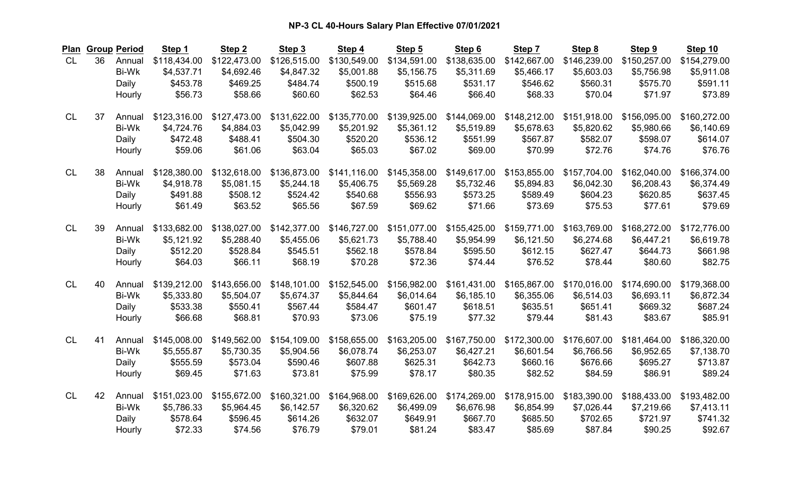| Plan      |    | <b>Group Period</b> | Step 1       | Step <sub>2</sub> | Step 3       | Step 4       | Step 5       | Step 6       | Step 7       | Step 8       | Step 9       | Step 10      |
|-----------|----|---------------------|--------------|-------------------|--------------|--------------|--------------|--------------|--------------|--------------|--------------|--------------|
| <b>CL</b> | 36 | Annual              | \$118,434.00 | \$122,473.00      | \$126,515.00 | \$130,549.00 | \$134,591.00 | \$138,635.00 | \$142,667.00 | \$146,239.00 | \$150,257.00 | \$154,279.00 |
|           |    | <b>Bi-Wk</b>        | \$4,537.71   | \$4,692.46        | \$4,847.32   | \$5,001.88   | \$5,156.75   | \$5,311.69   | \$5,466.17   | \$5,603.03   | \$5,756.98   | \$5,911.08   |
|           |    | Daily               | \$453.78     | \$469.25          | \$484.74     | \$500.19     | \$515.68     | \$531.17     | \$546.62     | \$560.31     | \$575.70     | \$591.11     |
|           |    | Hourly              | \$56.73      | \$58.66           | \$60.60      | \$62.53      | \$64.46      | \$66.40      | \$68.33      | \$70.04      | \$71.97      | \$73.89      |
| <b>CL</b> | 37 | Annual              | \$123,316.00 | \$127,473.00      | \$131,622.00 | \$135,770.00 | \$139,925.00 | \$144,069.00 | \$148,212.00 | \$151,918.00 | \$156,095.00 | \$160,272.00 |
|           |    | <b>Bi-Wk</b>        | \$4,724.76   | \$4,884.03        | \$5,042.99   | \$5,201.92   | \$5,361.12   | \$5,519.89   | \$5,678.63   | \$5,820.62   | \$5,980.66   | \$6,140.69   |
|           |    | Daily               | \$472.48     | \$488.41          | \$504.30     | \$520.20     | \$536.12     | \$551.99     | \$567.87     | \$582.07     | \$598.07     | \$614.07     |
|           |    | Hourly              | \$59.06      | \$61.06           | \$63.04      | \$65.03      | \$67.02      | \$69.00      | \$70.99      | \$72.76      | \$74.76      | \$76.76      |
| <b>CL</b> | 38 | Annual              | \$128,380.00 | \$132,618.00      | \$136,873.00 | \$141,116.00 | \$145,358.00 | \$149,617.00 | \$153,855.00 | \$157,704.00 | \$162,040.00 | \$166,374.00 |
|           |    | <b>Bi-Wk</b>        | \$4,918.78   | \$5,081.15        | \$5,244.18   | \$5,406.75   | \$5,569.28   | \$5,732.46   | \$5,894.83   | \$6,042.30   | \$6,208.43   | \$6,374.49   |
|           |    | Daily               | \$491.88     | \$508.12          | \$524.42     | \$540.68     | \$556.93     | \$573.25     | \$589.49     | \$604.23     | \$620.85     | \$637.45     |
|           |    | Hourly              | \$61.49      | \$63.52           | \$65.56      | \$67.59      | \$69.62      | \$71.66      | \$73.69      | \$75.53      | \$77.61      | \$79.69      |
| <b>CL</b> | 39 | Annual              | \$133,682.00 | \$138,027.00      | \$142,377.00 | \$146,727.00 | \$151,077.00 | \$155,425.00 | \$159,771.00 | \$163,769.00 | \$168,272.00 | \$172,776.00 |
|           |    | <b>Bi-Wk</b>        | \$5,121.92   | \$5,288.40        | \$5,455.06   | \$5,621.73   | \$5,788.40   | \$5,954.99   | \$6,121.50   | \$6,274.68   | \$6,447.21   | \$6,619.78   |
|           |    | Daily               | \$512.20     | \$528.84          | \$545.51     | \$562.18     | \$578.84     | \$595.50     | \$612.15     | \$627.47     | \$644.73     | \$661.98     |
|           |    | Hourly              | \$64.03      | \$66.11           | \$68.19      | \$70.28      | \$72.36      | \$74.44      | \$76.52      | \$78.44      | \$80.60      | \$82.75      |
| <b>CL</b> | 40 | Annual              | \$139,212.00 | \$143,656.00      | \$148,101.00 | \$152,545.00 | \$156,982.00 | \$161,431.00 | \$165,867.00 | \$170,016.00 | \$174,690.00 | \$179,368.00 |
|           |    | Bi-Wk               | \$5,333.80   | \$5,504.07        | \$5,674.37   | \$5,844.64   | \$6,014.64   | \$6,185.10   | \$6,355.06   | \$6,514.03   | \$6,693.11   | \$6,872.34   |
|           |    | Daily               | \$533.38     | \$550.41          | \$567.44     | \$584.47     | \$601.47     | \$618.51     | \$635.51     | \$651.41     | \$669.32     | \$687.24     |
|           |    | Hourly              | \$66.68      | \$68.81           | \$70.93      | \$73.06      | \$75.19      | \$77.32      | \$79.44      | \$81.43      | \$83.67      | \$85.91      |
| <b>CL</b> | 41 | Annual              | \$145,008.00 | \$149,562.00      | \$154,109.00 | \$158,655.00 | \$163,205.00 | \$167,750.00 | \$172,300.00 | \$176,607.00 | \$181,464.00 | \$186,320.00 |
|           |    | <b>Bi-Wk</b>        | \$5,555.87   | \$5,730.35        | \$5,904.56   | \$6,078.74   | \$6,253.07   | \$6,427.21   | \$6,601.54   | \$6,766.56   | \$6,952.65   | \$7,138.70   |
|           |    | Daily               | \$555.59     | \$573.04          | \$590.46     | \$607.88     | \$625.31     | \$642.73     | \$660.16     | \$676.66     | \$695.27     | \$713.87     |
|           |    | Hourly              | \$69.45      | \$71.63           | \$73.81      | \$75.99      | \$78.17      | \$80.35      | \$82.52      | \$84.59      | \$86.91      | \$89.24      |
| <b>CL</b> | 42 | Annual              | \$151,023.00 | \$155,672.00      | \$160,321.00 | \$164,968.00 | \$169,626.00 | \$174,269.00 | \$178,915.00 | \$183,390.00 | \$188,433.00 | \$193,482.00 |
|           |    | <b>Bi-Wk</b>        | \$5,786.33   | \$5,964.45        | \$6,142.57   | \$6,320.62   | \$6,499.09   | \$6,676.98   | \$6,854.99   | \$7,026.44   | \$7,219.66   | \$7,413.11   |
|           |    | Daily               | \$578.64     | \$596.45          | \$614.26     | \$632.07     | \$649.91     | \$667.70     | \$685.50     | \$702.65     | \$721.97     | \$741.32     |
|           |    | Hourly              | \$72.33      | \$74.56           | \$76.79      | \$79.01      | \$81.24      | \$83.47      | \$85.69      | \$87.84      | \$90.25      | \$92.67      |